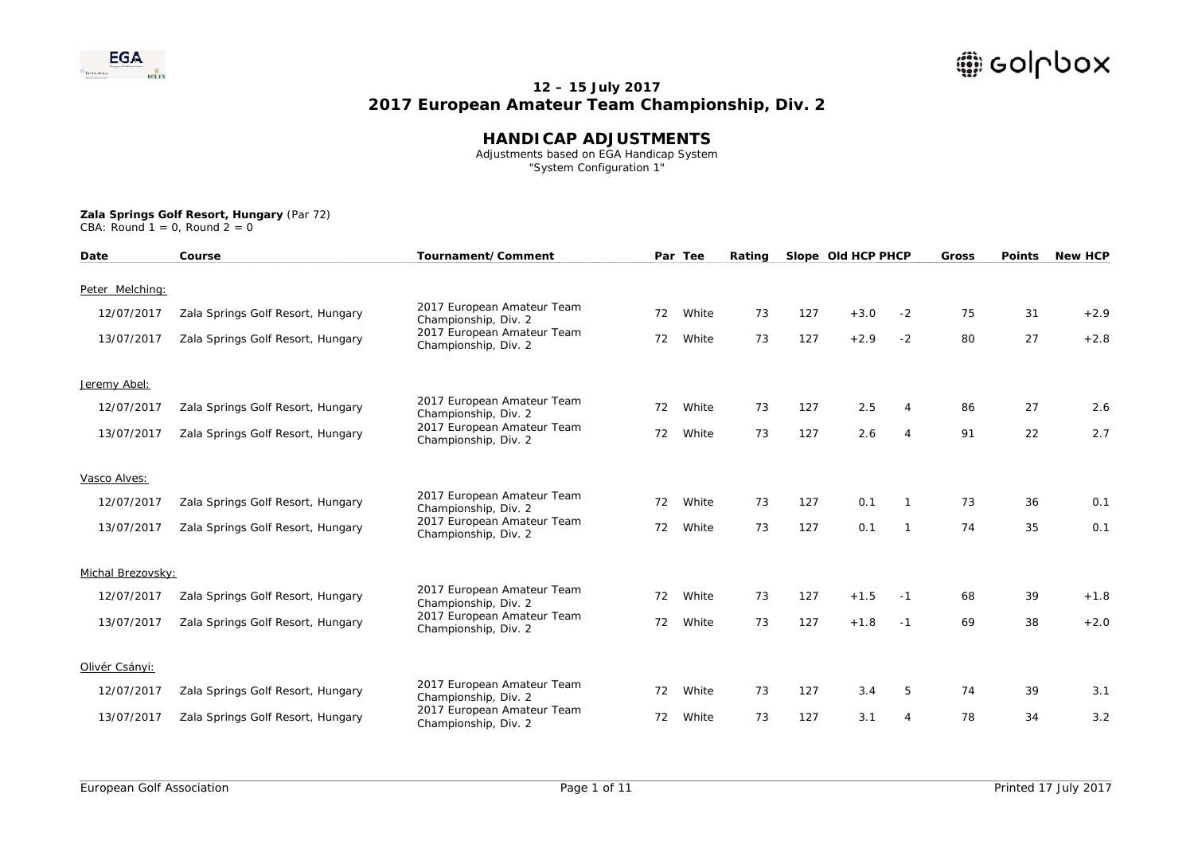

### **HANDICAP ADJUSTMENTS**

 Adjustments based on EGA Handicap System "System Configuration 1"

| CBA: Round $1 = 0$ , Round $2 = 0$ |  |  |  |  |  |  |  |  |
|------------------------------------|--|--|--|--|--|--|--|--|
|------------------------------------|--|--|--|--|--|--|--|--|

| Date              | Course                            | Tournament/Comment                                 |    | Par Tee | Rating |     | Slope Old HCP PHCP |                | <b>Gross</b> | <b>Points</b> | <b>New HCP</b> |
|-------------------|-----------------------------------|----------------------------------------------------|----|---------|--------|-----|--------------------|----------------|--------------|---------------|----------------|
| Peter Melching:   |                                   |                                                    |    |         |        |     |                    |                |              |               |                |
| 12/07/2017        | Zala Springs Golf Resort, Hungary | 2017 European Amateur Team<br>Championship, Div. 2 | 72 | White   | 73     | 127 | $+3.0$             | $-2$           | 75           | 31            | $+2.9$         |
| 13/07/2017        | Zala Springs Golf Resort, Hungary | 2017 European Amateur Team<br>Championship, Div. 2 | 72 | White   | 73     | 127 | $+2.9$             | $-2$           | 80           | 27            | $+2.8$         |
| Jeremy Abel:      |                                   |                                                    |    |         |        |     |                    |                |              |               |                |
| 12/07/2017        | Zala Springs Golf Resort, Hungary | 2017 European Amateur Team<br>Championship, Div. 2 | 72 | White   | 73     | 127 | 2.5                | $\overline{4}$ | 86           | 27            | 2.6            |
| 13/07/2017        | Zala Springs Golf Resort, Hungary | 2017 European Amateur Team<br>Championship, Div. 2 | 72 | White   | 73     | 127 | 2.6                | $\overline{4}$ | 91           | 22            | 2.7            |
| Vasco Alves:      |                                   |                                                    |    |         |        |     |                    |                |              |               |                |
| 12/07/2017        | Zala Springs Golf Resort, Hungary | 2017 European Amateur Team<br>Championship, Div. 2 | 72 | White   | 73     | 127 | 0.1                |                | 73           | 36            | 0.1            |
| 13/07/2017        | Zala Springs Golf Resort, Hungary | 2017 European Amateur Team<br>Championship, Div. 2 | 72 | White   | 73     | 127 | 0.1                | $\mathbf{1}$   | 74           | 35            | 0.1            |
| Michal Brezovsky: |                                   |                                                    |    |         |        |     |                    |                |              |               |                |
| 12/07/2017        | Zala Springs Golf Resort, Hungary | 2017 European Amateur Team<br>Championship, Div. 2 | 72 | White   | 73     | 127 | $+1.5$             | $-1$           | 68           | 39            | $+1.8$         |
| 13/07/2017        | Zala Springs Golf Resort, Hungary | 2017 European Amateur Team<br>Championship, Div. 2 | 72 | White   | 73     | 127 | $+1.8$             | $-1$           | 69           | 38            | $+2.0$         |
| Olivér Csányi:    |                                   |                                                    |    |         |        |     |                    |                |              |               |                |
| 12/07/2017        | Zala Springs Golf Resort, Hungary | 2017 European Amateur Team<br>Championship, Div. 2 | 72 | White   | 73     | 127 | 3.4                | 5              | 74           | 39            | 3.1            |
| 13/07/2017        | Zala Springs Golf Resort, Hungary | 2017 European Amateur Team<br>Championship, Div. 2 | 72 | White   | 73     | 127 | 3.1                | $\overline{4}$ | 78           | 34            | 3.2            |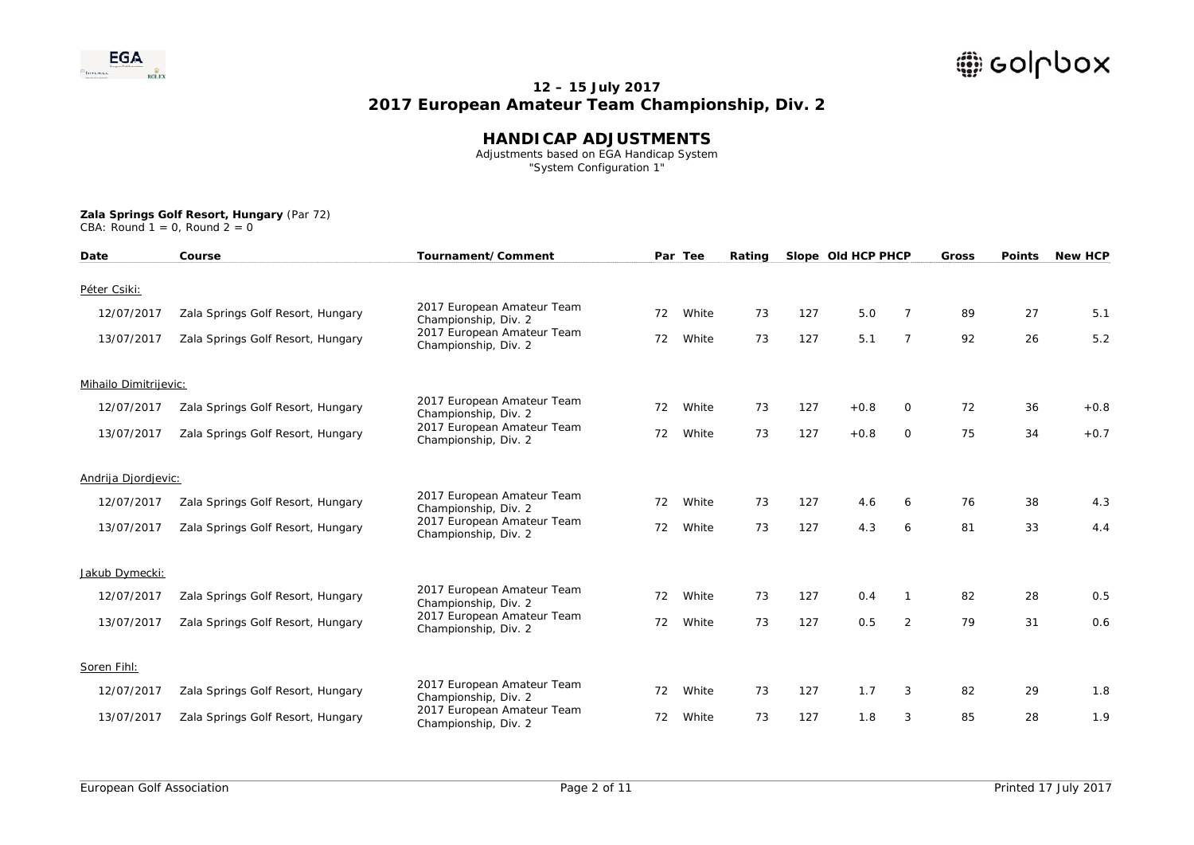

### **HANDICAP ADJUSTMENTS**

 Adjustments based on EGA Handicap System "System Configuration 1"

| CBA: Round $1 = 0$ , Round $2 = 0$ |  |
|------------------------------------|--|
|                                    |  |

| Date                  | Course                            | Tournament/Comment                                 |    | Par Tee | Rating |     | Slope Old HCP PHCP |                | <b>Gross</b> | <b>Points</b> | <b>New HCP</b> |
|-----------------------|-----------------------------------|----------------------------------------------------|----|---------|--------|-----|--------------------|----------------|--------------|---------------|----------------|
| Péter Csiki:          |                                   |                                                    |    |         |        |     |                    |                |              |               |                |
| 12/07/2017            | Zala Springs Golf Resort, Hungary | 2017 European Amateur Team<br>Championship, Div. 2 | 72 | White   | 73     | 127 | 5.0                | $\overline{7}$ | 89           | 27            | 5.1            |
| 13/07/2017            | Zala Springs Golf Resort, Hungary | 2017 European Amateur Team<br>Championship, Div. 2 | 72 | White   | 73     | 127 | 5.1                | $\overline{7}$ | 92           | 26            | 5.2            |
| Mihailo Dimitrijevic: |                                   |                                                    |    |         |        |     |                    |                |              |               |                |
| 12/07/2017            | Zala Springs Golf Resort, Hungary | 2017 European Amateur Team<br>Championship, Div. 2 | 72 | White   | 73     | 127 | $+0.8$             | 0              | 72           | 36            | $+0.8$         |
| 13/07/2017            | Zala Springs Golf Resort, Hungary | 2017 European Amateur Team<br>Championship, Div. 2 | 72 | White   | 73     | 127 | $+0.8$             | $\circ$        | 75           | 34            | $+0.7$         |
| Andrija Djordjevic:   |                                   |                                                    |    |         |        |     |                    |                |              |               |                |
| 12/07/2017            | Zala Springs Golf Resort, Hungary | 2017 European Amateur Team<br>Championship, Div. 2 | 72 | White   | 73     | 127 | 4.6                | 6              | 76           | 38            | 4.3            |
| 13/07/2017            | Zala Springs Golf Resort, Hungary | 2017 European Amateur Team<br>Championship, Div. 2 | 72 | White   | 73     | 127 | 4.3                | 6              | 81           | 33            | 4.4            |
| Jakub Dymecki:        |                                   |                                                    |    |         |        |     |                    |                |              |               |                |
| 12/07/2017            | Zala Springs Golf Resort, Hungary | 2017 European Amateur Team<br>Championship, Div. 2 | 72 | White   | 73     | 127 | 0.4                |                | 82           | 28            | 0.5            |
| 13/07/2017            | Zala Springs Golf Resort, Hungary | 2017 European Amateur Team<br>Championship, Div. 2 | 72 | White   | 73     | 127 | 0.5                | $\overline{2}$ | 79           | 31            | 0.6            |
| Soren Fihl:           |                                   |                                                    |    |         |        |     |                    |                |              |               |                |
| 12/07/2017            | Zala Springs Golf Resort, Hungary | 2017 European Amateur Team<br>Championship, Div. 2 | 72 | White   | 73     | 127 | 1.7                | 3              | 82           | 29            | 1.8            |
| 13/07/2017            | Zala Springs Golf Resort, Hungary | 2017 European Amateur Team<br>Championship, Div. 2 | 72 | White   | 73     | 127 | 1.8                | 3              | 85           | 28            | 1.9            |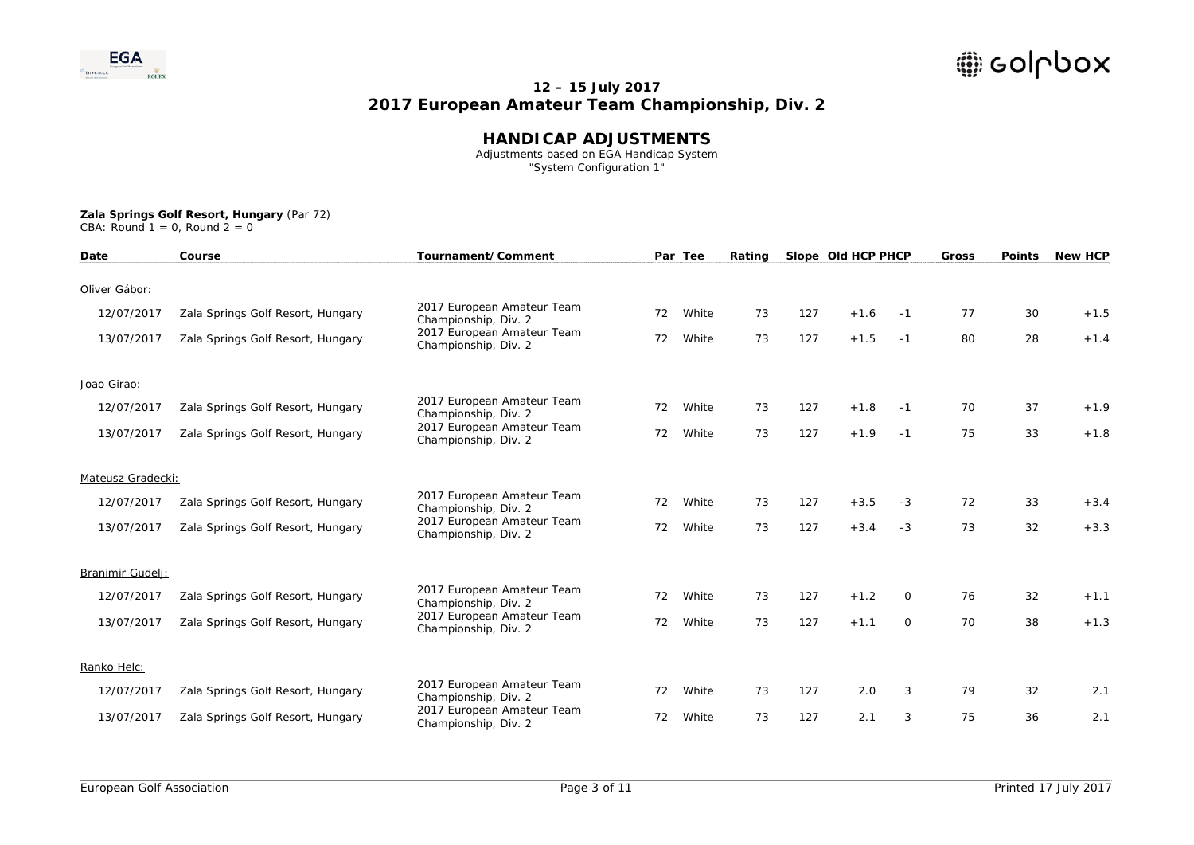

#### **HANDICAP ADJUSTMENTS**

 Adjustments based on EGA Handicap System "System Configuration 1"

| CBA: Round $1 = 0$ , Round $2 = 0$ |  |  |  |  |  |  |
|------------------------------------|--|--|--|--|--|--|
|------------------------------------|--|--|--|--|--|--|

| Date              | Course                            | Tournament/Comment                                 |    | Par Tee | Rating |     | Slope Old HCP PHCP |          | Gross | <b>Points</b> | <b>New HCP</b> |
|-------------------|-----------------------------------|----------------------------------------------------|----|---------|--------|-----|--------------------|----------|-------|---------------|----------------|
| Oliver Gábor:     |                                   |                                                    |    |         |        |     |                    |          |       |               |                |
| 12/07/2017        | Zala Springs Golf Resort, Hungary | 2017 European Amateur Team<br>Championship, Div. 2 | 72 | White   | 73     | 127 | $+1.6$             | -1       | 77    | 30            | $+1.5$         |
| 13/07/2017        | Zala Springs Golf Resort, Hungary | 2017 European Amateur Team<br>Championship, Div. 2 | 72 | White   | 73     | 127 | $+1.5$             | $-1$     | 80    | 28            | $+1.4$         |
| Joao Girao:       |                                   |                                                    |    |         |        |     |                    |          |       |               |                |
| 12/07/2017        | Zala Springs Golf Resort, Hungary | 2017 European Amateur Team<br>Championship, Div. 2 | 72 | White   | 73     | 127 | $+1.8$             | -1       | 70    | 37            | $+1.9$         |
| 13/07/2017        | Zala Springs Golf Resort, Hungary | 2017 European Amateur Team<br>Championship, Div. 2 | 72 | White   | 73     | 127 | $+1.9$             | $-1$     | 75    | 33            | $+1.8$         |
| Mateusz Gradecki: |                                   |                                                    |    |         |        |     |                    |          |       |               |                |
| 12/07/2017        | Zala Springs Golf Resort, Hungary | 2017 European Amateur Team<br>Championship, Div. 2 | 72 | White   | 73     | 127 | $+3.5$             | $-3$     | 72    | 33            | $+3.4$         |
| 13/07/2017        | Zala Springs Golf Resort, Hungary | 2017 European Amateur Team<br>Championship, Div. 2 | 72 | White   | 73     | 127 | $+3.4$             | $-3$     | 73    | 32            | $+3.3$         |
| Branimir Gudelj:  |                                   |                                                    |    |         |        |     |                    |          |       |               |                |
| 12/07/2017        | Zala Springs Golf Resort, Hungary | 2017 European Amateur Team<br>Championship, Div. 2 | 72 | White   | 73     | 127 | $+1.2$             | 0        | 76    | 32            | $+1.1$         |
| 13/07/2017        | Zala Springs Golf Resort, Hungary | 2017 European Amateur Team<br>Championship, Div. 2 | 72 | White   | 73     | 127 | $+1.1$             | $\Omega$ | 70    | 38            | $+1.3$         |
| Ranko Helc:       |                                   |                                                    |    |         |        |     |                    |          |       |               |                |
| 12/07/2017        | Zala Springs Golf Resort, Hungary | 2017 European Amateur Team<br>Championship, Div. 2 | 72 | White   | 73     | 127 | 2.0                | 3        | 79    | 32            | 2.1            |
| 13/07/2017        | Zala Springs Golf Resort, Hungary | 2017 European Amateur Team<br>Championship, Div. 2 | 72 | White   | 73     | 127 | 2.1                | 3        | 75    | 36            | 2.1            |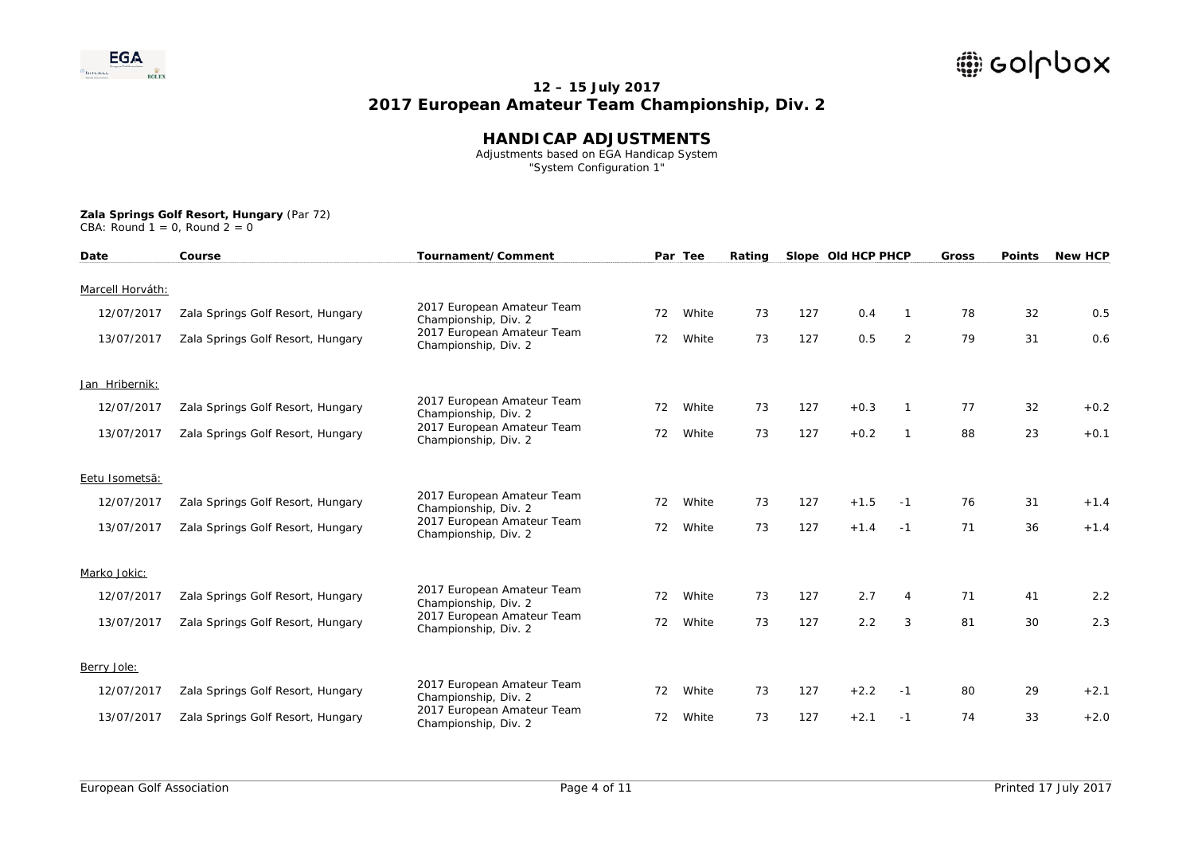

### **HANDICAP ADJUSTMENTS**

 Adjustments based on EGA Handicap System "System Configuration 1"

| CBA: Round $1 = 0$ , Round $2 = 0$ |  |  |  |  |  |  |  |  |
|------------------------------------|--|--|--|--|--|--|--|--|
|------------------------------------|--|--|--|--|--|--|--|--|

| Date             | Course                            | Tournament/Comment                                 |    | Par Tee | Rating |     | Slope Old HCP PHCP |              | <b>Gross</b> | <b>Points</b> | <b>New HCP</b> |
|------------------|-----------------------------------|----------------------------------------------------|----|---------|--------|-----|--------------------|--------------|--------------|---------------|----------------|
| Marcell Horváth: |                                   |                                                    |    |         |        |     |                    |              |              |               |                |
| 12/07/2017       | Zala Springs Golf Resort, Hungary | 2017 European Amateur Team<br>Championship, Div. 2 | 72 | White   | 73     | 127 | 0.4                | $\mathbf{1}$ | 78           | 32            | 0.5            |
| 13/07/2017       | Zala Springs Golf Resort, Hungary | 2017 European Amateur Team<br>Championship, Div. 2 | 72 | White   | 73     | 127 | 0.5                | 2            | 79           | 31            | 0.6            |
| Jan Hribernik:   |                                   |                                                    |    |         |        |     |                    |              |              |               |                |
| 12/07/2017       | Zala Springs Golf Resort, Hungary | 2017 European Amateur Team<br>Championship, Div. 2 | 72 | White   | 73     | 127 | $+0.3$             | 1            | 77           | 32            | $+0.2$         |
| 13/07/2017       | Zala Springs Golf Resort, Hungary | 2017 European Amateur Team<br>Championship, Div. 2 | 72 | White   | 73     | 127 | $+0.2$             | $\mathbf{1}$ | 88           | 23            | $+0.1$         |
| Eetu Isometsä:   |                                   |                                                    |    |         |        |     |                    |              |              |               |                |
| 12/07/2017       | Zala Springs Golf Resort, Hungary | 2017 European Amateur Team<br>Championship, Div. 2 | 72 | White   | 73     | 127 | $+1.5$             | $-1$         | 76           | 31            | $+1.4$         |
| 13/07/2017       | Zala Springs Golf Resort, Hungary | 2017 European Amateur Team<br>Championship, Div. 2 | 72 | White   | 73     | 127 | $+1.4$             | $-1$         | 71           | 36            | $+1.4$         |
| Marko Jokic:     |                                   |                                                    |    |         |        |     |                    |              |              |               |                |
| 12/07/2017       | Zala Springs Golf Resort, Hungary | 2017 European Amateur Team<br>Championship, Div. 2 | 72 | White   | 73     | 127 | 2.7                | 4            | 71           | 41            | 2.2            |
| 13/07/2017       | Zala Springs Golf Resort, Hungary | 2017 European Amateur Team<br>Championship, Div. 2 | 72 | White   | 73     | 127 | 2.2                | 3            | 81           | 30            | 2.3            |
| Berry Jole:      |                                   |                                                    |    |         |        |     |                    |              |              |               |                |
| 12/07/2017       | Zala Springs Golf Resort, Hungary | 2017 European Amateur Team<br>Championship, Div. 2 | 72 | White   | 73     | 127 | $+2.2$             | $-1$         | 80           | 29            | $+2.1$         |
| 13/07/2017       | Zala Springs Golf Resort, Hungary | 2017 European Amateur Team<br>Championship, Div. 2 | 72 | White   | 73     | 127 | $+2.1$             | $-1$         | 74           | 33            | $+2.0$         |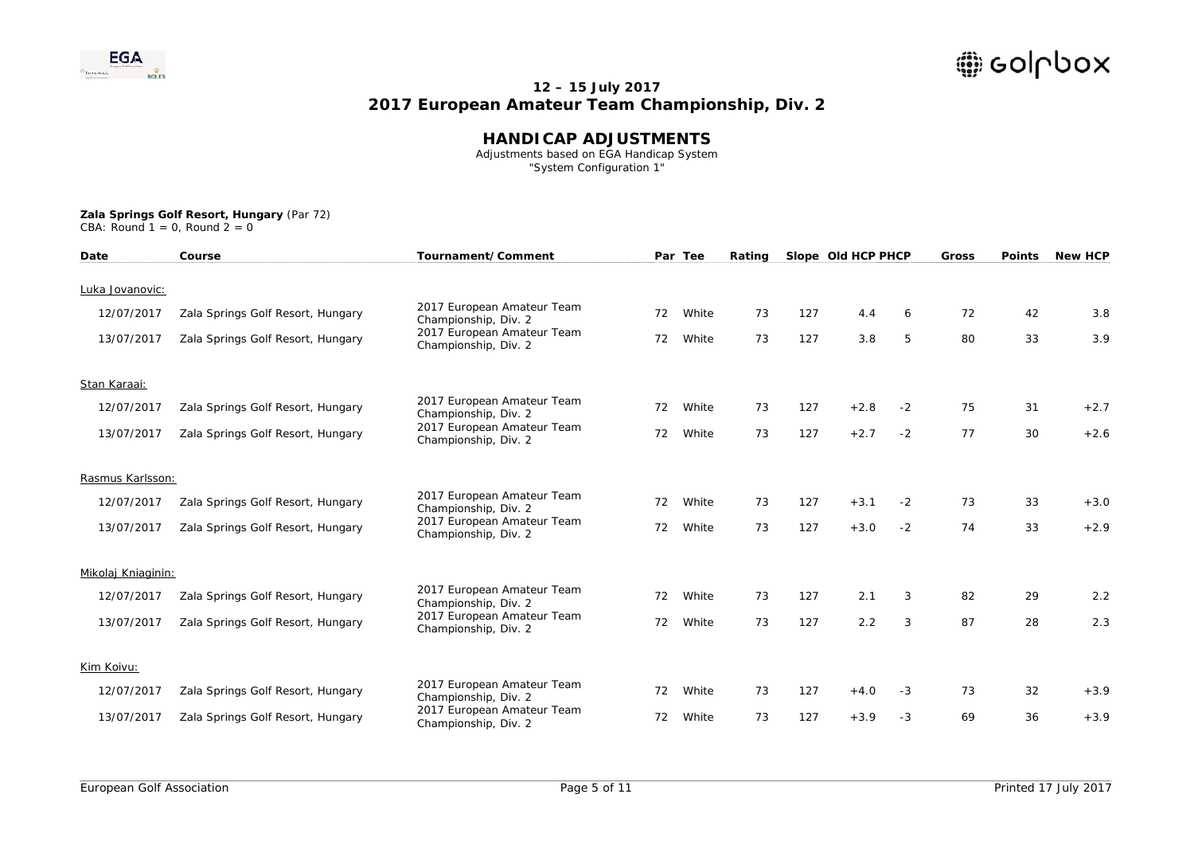

#### **HANDICAP ADJUSTMENTS**

 Adjustments based on EGA Handicap System "System Configuration 1"

| CBA: Round $1 = 0$ , Round $2 = 0$ |
|------------------------------------|
|                                    |

| Date               | Course                            | Tournament/Comment                                 |    | Par Tee | Rating |     | Slope Old HCP PHCP |      | <b>Gross</b> | <b>Points</b> | <b>New HCP</b> |
|--------------------|-----------------------------------|----------------------------------------------------|----|---------|--------|-----|--------------------|------|--------------|---------------|----------------|
| Luka Jovanovic:    |                                   |                                                    |    |         |        |     |                    |      |              |               |                |
| 12/07/2017         | Zala Springs Golf Resort, Hungary | 2017 European Amateur Team<br>Championship, Div. 2 | 72 | White   | 73     | 127 | 4.4                | 6    | 72           | 42            | 3.8            |
| 13/07/2017         | Zala Springs Golf Resort, Hungary | 2017 European Amateur Team<br>Championship, Div. 2 | 72 | White   | 73     | 127 | 3.8                | 5    | 80           | 33            | 3.9            |
| Stan Karaai:       |                                   |                                                    |    |         |        |     |                    |      |              |               |                |
| 12/07/2017         | Zala Springs Golf Resort, Hungary | 2017 European Amateur Team<br>Championship, Div. 2 | 72 | White   | 73     | 127 | $+2.8$             | $-2$ | 75           | 31            | $+2.7$         |
| 13/07/2017         | Zala Springs Golf Resort, Hungary | 2017 European Amateur Team<br>Championship, Div. 2 | 72 | White   | 73     | 127 | $+2.7$             | $-2$ | 77           | 30            | $+2.6$         |
| Rasmus Karlsson:   |                                   |                                                    |    |         |        |     |                    |      |              |               |                |
| 12/07/2017         | Zala Springs Golf Resort, Hungary | 2017 European Amateur Team<br>Championship, Div. 2 | 72 | White   | 73     | 127 | $+3.1$             | $-2$ | 73           | 33            | $+3.0$         |
| 13/07/2017         | Zala Springs Golf Resort, Hungary | 2017 European Amateur Team<br>Championship, Div. 2 | 72 | White   | 73     | 127 | $+3.0$             | $-2$ | 74           | 33            | $+2.9$         |
| Mikolaj Kniaginin: |                                   |                                                    |    |         |        |     |                    |      |              |               |                |
| 12/07/2017         | Zala Springs Golf Resort, Hungary | 2017 European Amateur Team<br>Championship, Div. 2 | 72 | White   | 73     | 127 | 2.1                | 3    | 82           | 29            | 2.2            |
| 13/07/2017         | Zala Springs Golf Resort, Hungary | 2017 European Amateur Team<br>Championship, Div. 2 | 72 | White   | 73     | 127 | 2.2                | 3    | 87           | 28            | 2.3            |
| Kim Koivu:         |                                   |                                                    |    |         |        |     |                    |      |              |               |                |
| 12/07/2017         | Zala Springs Golf Resort, Hungary | 2017 European Amateur Team<br>Championship, Div. 2 | 72 | White   | 73     | 127 | $+4.0$             | $-3$ | 73           | 32            | $+3.9$         |
| 13/07/2017         | Zala Springs Golf Resort, Hungary | 2017 European Amateur Team<br>Championship, Div. 2 | 72 | White   | 73     | 127 | $+3.9$             | $-3$ | 69           | 36            | $+3.9$         |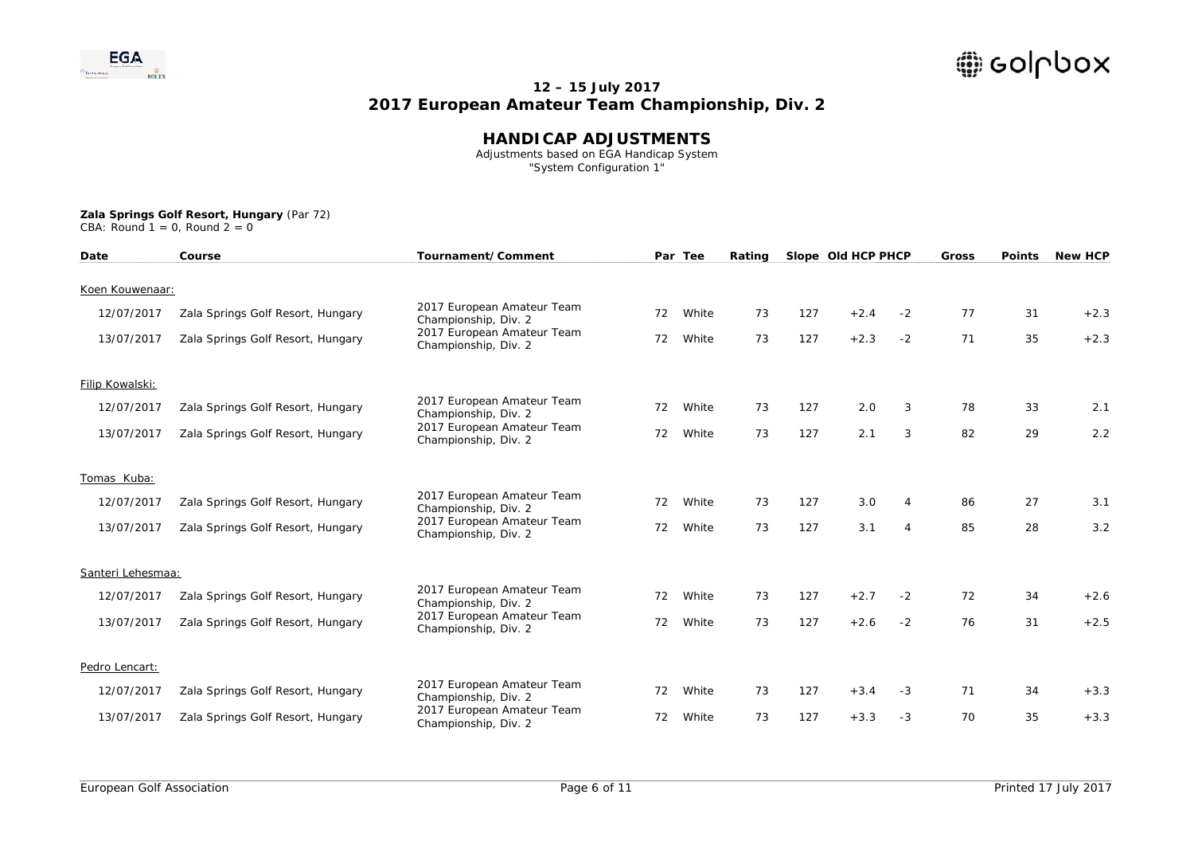

### **HANDICAP ADJUSTMENTS**

 Adjustments based on EGA Handicap System "System Configuration 1"

| CBA: Round $1 = 0$ , Round $2 = 0$ |  |  |  |  |  |  |  |
|------------------------------------|--|--|--|--|--|--|--|
|------------------------------------|--|--|--|--|--|--|--|

| Date              | Course                            | Tournament/Comment                                 |    | Par Tee | Rating |     | Slope Old HCP PHCP |                | <b>Gross</b> | <b>Points</b> | <b>New HCP</b> |
|-------------------|-----------------------------------|----------------------------------------------------|----|---------|--------|-----|--------------------|----------------|--------------|---------------|----------------|
| Koen Kouwenaar:   |                                   |                                                    |    |         |        |     |                    |                |              |               |                |
| 12/07/2017        | Zala Springs Golf Resort, Hungary | 2017 European Amateur Team<br>Championship, Div. 2 | 72 | White   | 73     | 127 | $+2.4$             | $-2$           | 77           | 31            | $+2.3$         |
| 13/07/2017        | Zala Springs Golf Resort, Hungary | 2017 European Amateur Team<br>Championship, Div. 2 | 72 | White   | 73     | 127 | $+2.3$             | $-2$           | 71           | 35            | $+2.3$         |
| Filip Kowalski:   |                                   |                                                    |    |         |        |     |                    |                |              |               |                |
| 12/07/2017        | Zala Springs Golf Resort, Hungary | 2017 European Amateur Team<br>Championship, Div. 2 | 72 | White   | 73     | 127 | 2.0                | 3              | 78           | 33            | 2.1            |
| 13/07/2017        | Zala Springs Golf Resort, Hungary | 2017 European Amateur Team<br>Championship, Div. 2 | 72 | White   | 73     | 127 | 2.1                | 3              | 82           | 29            | 2.2            |
| Tomas Kuba:       |                                   |                                                    |    |         |        |     |                    |                |              |               |                |
| 12/07/2017        | Zala Springs Golf Resort, Hungary | 2017 European Amateur Team<br>Championship, Div. 2 | 72 | White   | 73     | 127 | 3.0                | 4              | 86           | 27            | 3.1            |
| 13/07/2017        | Zala Springs Golf Resort, Hungary | 2017 European Amateur Team<br>Championship, Div. 2 | 72 | White   | 73     | 127 | 3.1                | $\overline{4}$ | 85           | 28            | 3.2            |
| Santeri Lehesmaa: |                                   |                                                    |    |         |        |     |                    |                |              |               |                |
| 12/07/2017        | Zala Springs Golf Resort, Hungary | 2017 European Amateur Team<br>Championship, Div. 2 | 72 | White   | 73     | 127 | $+2.7$             | $-2$           | 72           | 34            | $+2.6$         |
| 13/07/2017        | Zala Springs Golf Resort, Hungary | 2017 European Amateur Team<br>Championship, Div. 2 | 72 | White   | 73     | 127 | $+2.6$             | $-2$           | 76           | 31            | $+2.5$         |
| Pedro Lencart:    |                                   |                                                    |    |         |        |     |                    |                |              |               |                |
| 12/07/2017        | Zala Springs Golf Resort, Hungary | 2017 European Amateur Team<br>Championship, Div. 2 | 72 | White   | 73     | 127 | $+3.4$             | $-3$           | 71           | 34            | $+3.3$         |
| 13/07/2017        | Zala Springs Golf Resort, Hungary | 2017 European Amateur Team<br>Championship, Div. 2 | 72 | White   | 73     | 127 | $+3.3$             | $-3$           | 70           | 35            | $+3.3$         |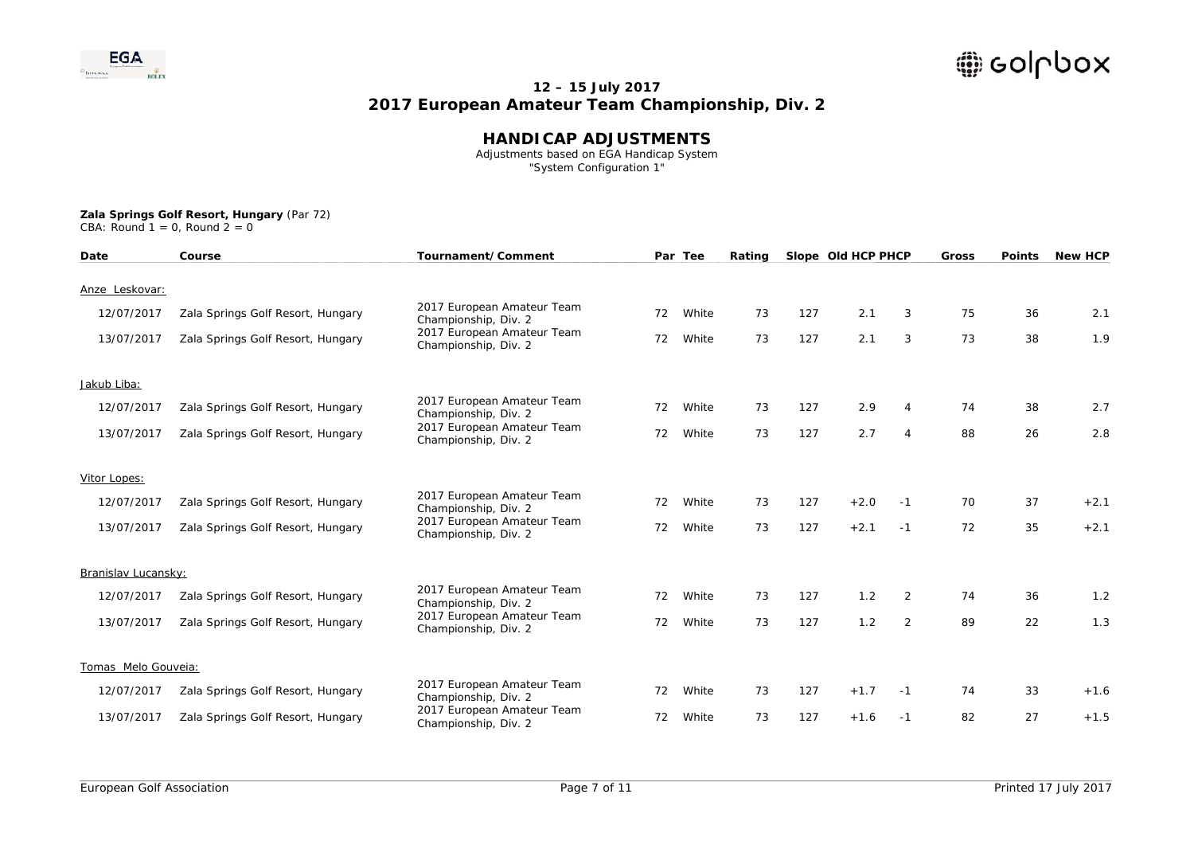

### **HANDICAP ADJUSTMENTS**

 Adjustments based on EGA Handicap System "System Configuration 1"

| CBA: Round $1 = 0$ , Round $2 = 0$ |  |
|------------------------------------|--|
|------------------------------------|--|

| Date                | Course                            | Tournament/Comment                                 |    | Par Tee | Rating |     | Slope Old HCP PHCP |                | <b>Gross</b> | <b>Points</b> | <b>New HCP</b> |
|---------------------|-----------------------------------|----------------------------------------------------|----|---------|--------|-----|--------------------|----------------|--------------|---------------|----------------|
| Anze Leskovar:      |                                   |                                                    |    |         |        |     |                    |                |              |               |                |
| 12/07/2017          | Zala Springs Golf Resort, Hungary | 2017 European Amateur Team<br>Championship, Div. 2 | 72 | White   | 73     | 127 | 2.1                | 3              | 75           | 36            | 2.1            |
| 13/07/2017          | Zala Springs Golf Resort, Hungary | 2017 European Amateur Team<br>Championship, Div. 2 | 72 | White   | 73     | 127 | 2.1                | 3              | 73           | 38            | 1.9            |
| Jakub Liba:         |                                   |                                                    |    |         |        |     |                    |                |              |               |                |
| 12/07/2017          | Zala Springs Golf Resort, Hungary | 2017 European Amateur Team<br>Championship, Div. 2 | 72 | White   | 73     | 127 | 2.9                | $\overline{4}$ | 74           | 38            | 2.7            |
| 13/07/2017          | Zala Springs Golf Resort, Hungary | 2017 European Amateur Team<br>Championship, Div. 2 | 72 | White   | 73     | 127 | 2.7                | $\overline{4}$ | 88           | 26            | 2.8            |
| Vitor Lopes:        |                                   |                                                    |    |         |        |     |                    |                |              |               |                |
| 12/07/2017          | Zala Springs Golf Resort, Hungary | 2017 European Amateur Team<br>Championship, Div. 2 | 72 | White   | 73     | 127 | $+2.0$             | $-1$           | 70           | 37            | $+2.1$         |
| 13/07/2017          | Zala Springs Golf Resort, Hungary | 2017 European Amateur Team<br>Championship, Div. 2 | 72 | White   | 73     | 127 | $+2.1$             | $-1$           | 72           | 35            | $+2.1$         |
| Branislav Lucansky: |                                   |                                                    |    |         |        |     |                    |                |              |               |                |
| 12/07/2017          | Zala Springs Golf Resort, Hungary | 2017 European Amateur Team<br>Championship, Div. 2 | 72 | White   | 73     | 127 | 1.2                | $\overline{2}$ | 74           | 36            | 1.2            |
| 13/07/2017          | Zala Springs Golf Resort, Hungary | 2017 European Amateur Team<br>Championship, Div. 2 | 72 | White   | 73     | 127 | 1.2                | 2              | 89           | 22            | 1.3            |
| Tomas Melo Gouveia: |                                   |                                                    |    |         |        |     |                    |                |              |               |                |
| 12/07/2017          | Zala Springs Golf Resort, Hungary | 2017 European Amateur Team<br>Championship, Div. 2 | 72 | White   | 73     | 127 | $+1.7$             | $-1$           | 74           | 33            | $+1.6$         |
| 13/07/2017          | Zala Springs Golf Resort, Hungary | 2017 European Amateur Team<br>Championship, Div. 2 | 72 | White   | 73     | 127 | $+1.6$             | -1             | 82           | 27            | $+1.5$         |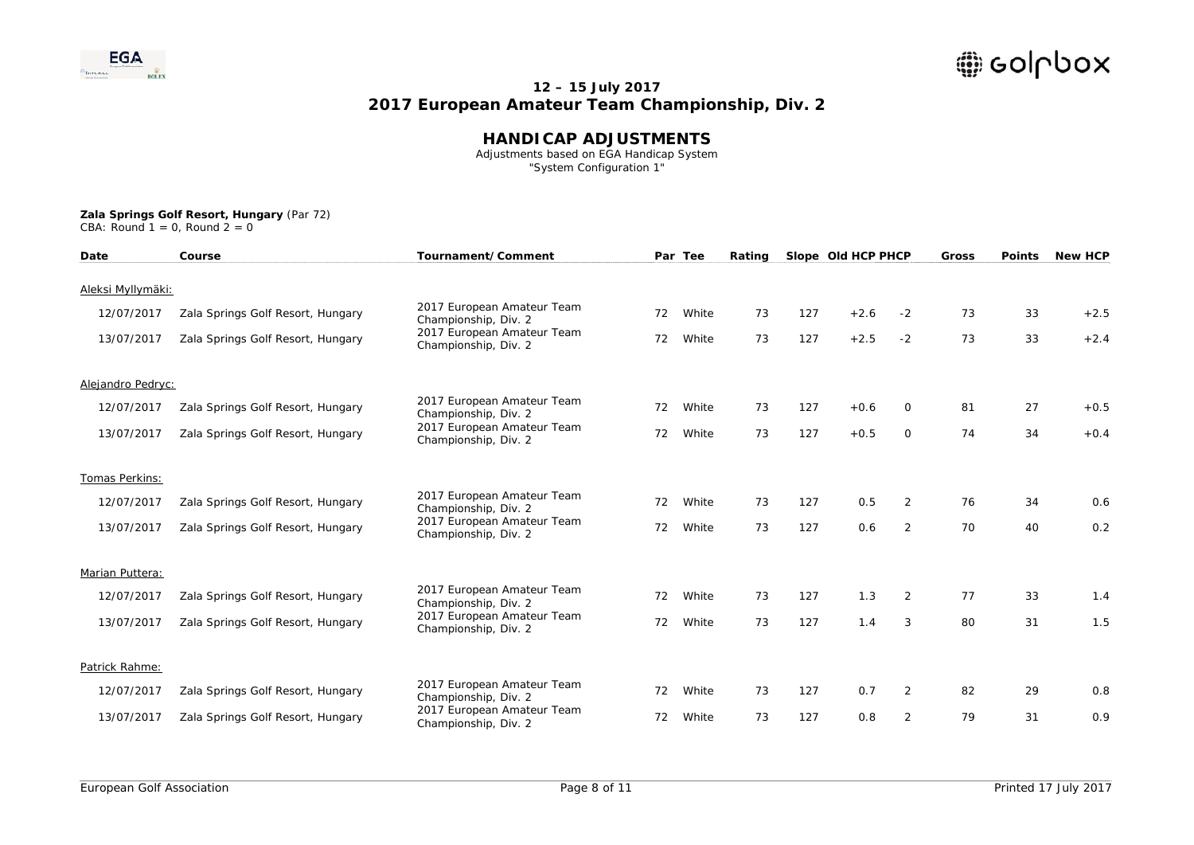

### **HANDICAP ADJUSTMENTS**

 Adjustments based on EGA Handicap System "System Configuration 1"

| CBA: Round $1 = 0$ , Round $2 = 0$ |  |  |  |  |  |  |  |  |
|------------------------------------|--|--|--|--|--|--|--|--|
|------------------------------------|--|--|--|--|--|--|--|--|

| Date              | Course                            | Tournament/Comment                                 |    | Par Tee | Rating |     | Slope Old HCP PHCP |                | <b>Gross</b> | <b>Points</b> | <b>New HCP</b> |
|-------------------|-----------------------------------|----------------------------------------------------|----|---------|--------|-----|--------------------|----------------|--------------|---------------|----------------|
| Aleksi Myllymäki: |                                   |                                                    |    |         |        |     |                    |                |              |               |                |
| 12/07/2017        | Zala Springs Golf Resort, Hungary | 2017 European Amateur Team<br>Championship, Div. 2 | 72 | White   | 73     | 127 | $+2.6$             | $-2$           | 73           | 33            | $+2.5$         |
| 13/07/2017        | Zala Springs Golf Resort, Hungary | 2017 European Amateur Team<br>Championship, Div. 2 | 72 | White   | 73     | 127 | $+2.5$             | $-2$           | 73           | 33            | $+2.4$         |
| Alejandro Pedryc: |                                   |                                                    |    |         |        |     |                    |                |              |               |                |
| 12/07/2017        | Zala Springs Golf Resort, Hungary | 2017 European Amateur Team<br>Championship, Div. 2 | 72 | White   | 73     | 127 | $+0.6$             | 0              | 81           | 27            | $+0.5$         |
| 13/07/2017        | Zala Springs Golf Resort, Hungary | 2017 European Amateur Team<br>Championship, Div. 2 | 72 | White   | 73     | 127 | $+0.5$             | $\circ$        | 74           | 34            | $+0.4$         |
| Tomas Perkins:    |                                   |                                                    |    |         |        |     |                    |                |              |               |                |
| 12/07/2017        | Zala Springs Golf Resort, Hungary | 2017 European Amateur Team<br>Championship, Div. 2 | 72 | White   | 73     | 127 | 0.5                | $\overline{2}$ | 76           | 34            | 0.6            |
| 13/07/2017        | Zala Springs Golf Resort, Hungary | 2017 European Amateur Team<br>Championship, Div. 2 | 72 | White   | 73     | 127 | 0.6                | $\overline{2}$ | 70           | 40            | 0.2            |
| Marian Puttera:   |                                   |                                                    |    |         |        |     |                    |                |              |               |                |
| 12/07/2017        | Zala Springs Golf Resort, Hungary | 2017 European Amateur Team<br>Championship, Div. 2 | 72 | White   | 73     | 127 | 1.3                | $\overline{2}$ | 77           | 33            | 1.4            |
| 13/07/2017        | Zala Springs Golf Resort, Hungary | 2017 European Amateur Team<br>Championship, Div. 2 | 72 | White   | 73     | 127 | 1.4                | 3              | 80           | 31            | 1.5            |
| Patrick Rahme:    |                                   |                                                    |    |         |        |     |                    |                |              |               |                |
| 12/07/2017        | Zala Springs Golf Resort, Hungary | 2017 European Amateur Team<br>Championship, Div. 2 | 72 | White   | 73     | 127 | 0.7                | $\overline{2}$ | 82           | 29            | 0.8            |
| 13/07/2017        | Zala Springs Golf Resort, Hungary | 2017 European Amateur Team<br>Championship, Div. 2 | 72 | White   | 73     | 127 | 0.8                | $\overline{2}$ | 79           | 31            | 0.9            |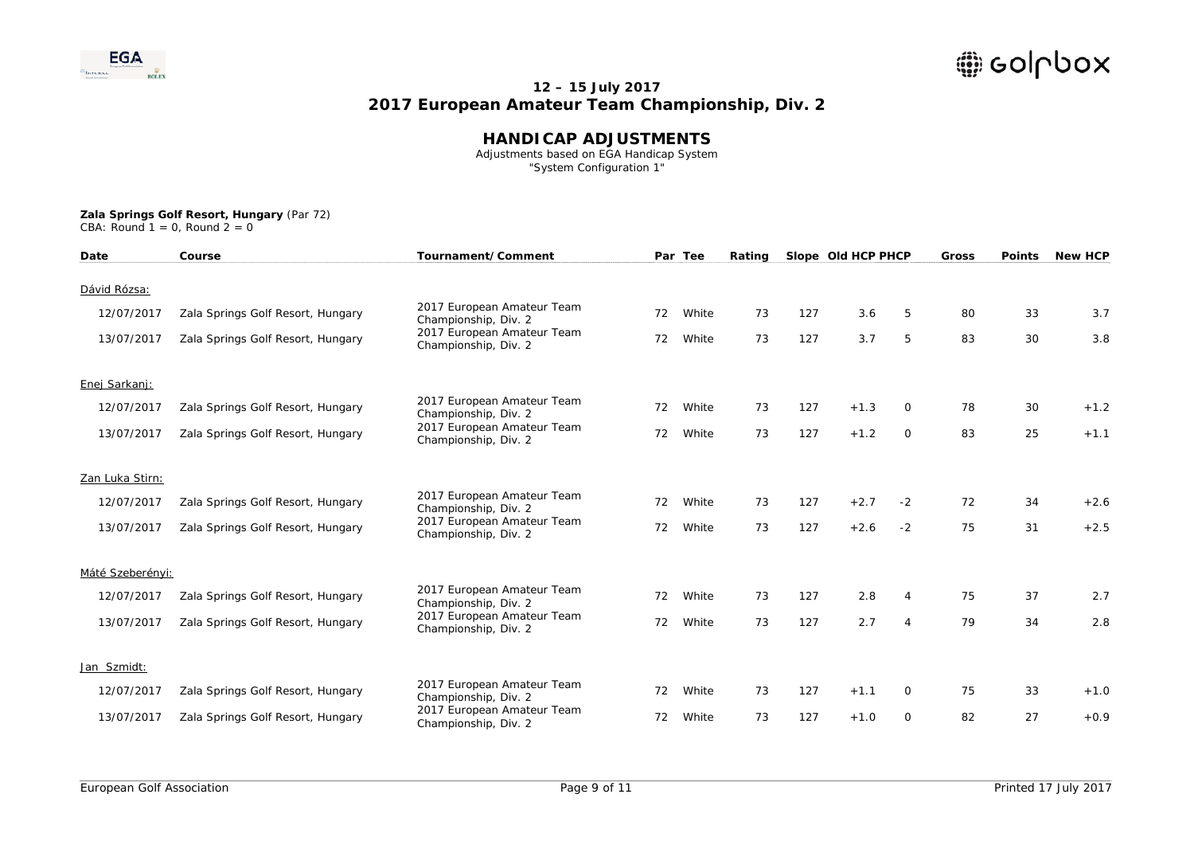

### **HANDICAP ADJUSTMENTS**

 Adjustments based on EGA Handicap System "System Configuration 1"

#### **Zala Springs Golf Resort, Hungary** (Par 72) CBA: Round  $1 = 0$ , Round  $2 = 0$

| Date             | Course                            | Tournament/Comment                                 |    | Par Tee | Rating |     | Slope Old HCP PHCP |             | Gross | <b>Points</b> | <b>New HCP</b> |
|------------------|-----------------------------------|----------------------------------------------------|----|---------|--------|-----|--------------------|-------------|-------|---------------|----------------|
| Dávid Rózsa:     |                                   |                                                    |    |         |        |     |                    |             |       |               |                |
| 12/07/2017       | Zala Springs Golf Resort, Hungary | 2017 European Amateur Team<br>Championship, Div. 2 | 72 | White   | 73     | 127 | 3.6                | 5           | 80    | 33            | 3.7            |
| 13/07/2017       | Zala Springs Golf Resort, Hungary | 2017 European Amateur Team<br>Championship, Div. 2 | 72 | White   | 73     | 127 | 3.7                | 5           | 83    | 30            | 3.8            |
| Enej Sarkanj:    |                                   |                                                    |    |         |        |     |                    |             |       |               |                |
| 12/07/2017       | Zala Springs Golf Resort, Hungary | 2017 European Amateur Team<br>Championship, Div. 2 | 72 | White   | 73     | 127 | $+1.3$             | 0           | 78    | 30            | $+1.2$         |
| 13/07/2017       | Zala Springs Golf Resort, Hungary | 2017 European Amateur Team<br>Championship, Div. 2 | 72 | White   | 73     | 127 | $+1.2$             | $\mathbf 0$ | 83    | 25            | $+1.1$         |
| Zan Luka Stirn:  |                                   |                                                    |    |         |        |     |                    |             |       |               |                |
| 12/07/2017       | Zala Springs Golf Resort, Hungary | 2017 European Amateur Team<br>Championship, Div. 2 | 72 | White   | 73     | 127 | $+2.7$             | $-2$        | 72    | 34            | $+2.6$         |
| 13/07/2017       | Zala Springs Golf Resort, Hungary | 2017 European Amateur Team<br>Championship, Div. 2 | 72 | White   | 73     | 127 | $+2.6$             | $-2$        | 75    | 31            | $+2.5$         |
| Máté Szeberényi: |                                   |                                                    |    |         |        |     |                    |             |       |               |                |
| 12/07/2017       | Zala Springs Golf Resort, Hungary | 2017 European Amateur Team<br>Championship, Div. 2 | 72 | White   | 73     | 127 | 2.8                | 4           | 75    | 37            | 2.7            |
| 13/07/2017       | Zala Springs Golf Resort, Hungary | 2017 European Amateur Team<br>Championship, Div. 2 | 72 | White   | 73     | 127 | 2.7                | 4           | 79    | 34            | 2.8            |
| Jan Szmidt:      |                                   |                                                    |    |         |        |     |                    |             |       |               |                |
| 12/07/2017       | Zala Springs Golf Resort, Hungary | 2017 European Amateur Team<br>Championship, Div. 2 | 72 | White   | 73     | 127 | $+1.1$             | 0           | 75    | 33            | $+1.0$         |
| 13/07/2017       | Zala Springs Golf Resort, Hungary | 2017 European Amateur Team<br>Championship, Div. 2 | 72 | White   | 73     | 127 | $+1.0$             | 0           | 82    | 27            | $+0.9$         |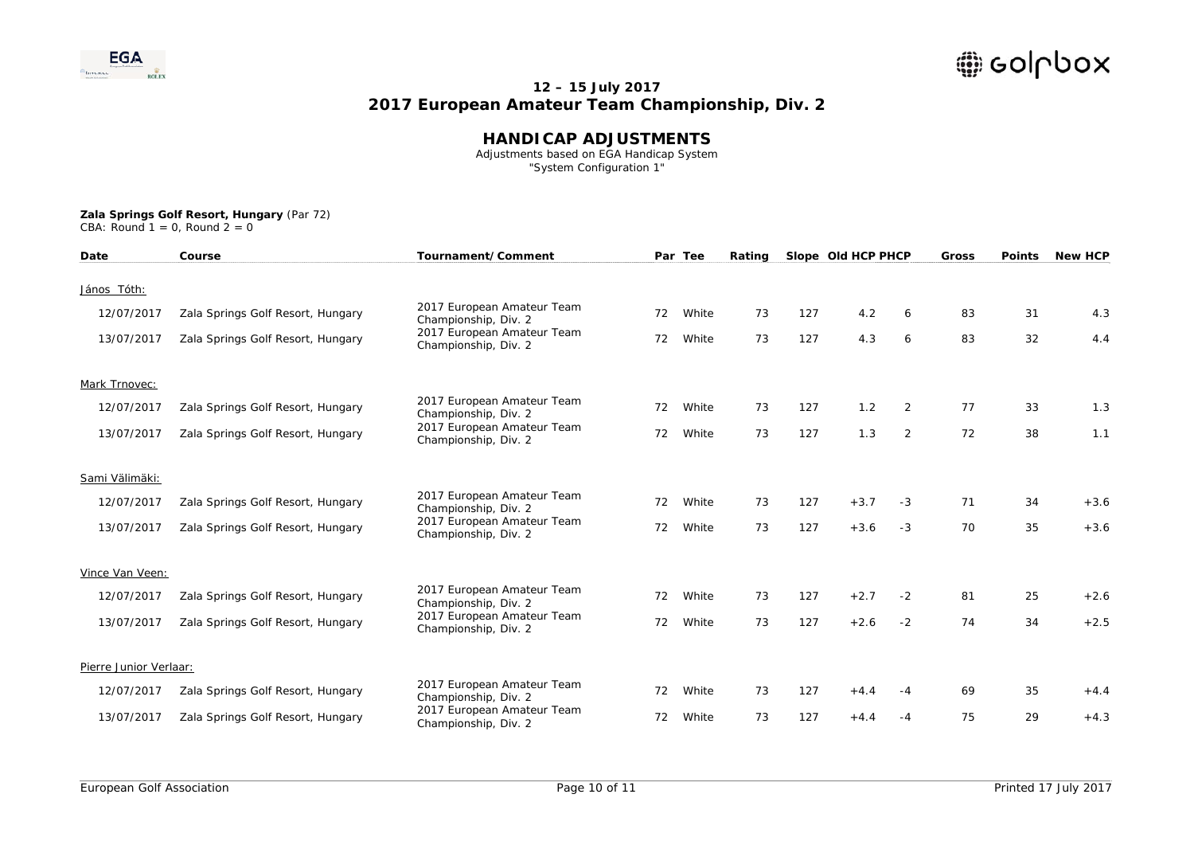

#### **HANDICAP ADJUSTMENTS**

 Adjustments based on EGA Handicap System "System Configuration 1"

#### **Zala Springs Golf Resort, Hungary** (Par 72) CBA: Round  $1 = 0$ , Round  $2 = 0$

| Date                   | Course                            | Tournament/Comment                                 |    | Par Tee | Rating |     | Slope Old HCP PHCP |      | Gross | <b>Points</b> | <b>New HCP</b> |
|------------------------|-----------------------------------|----------------------------------------------------|----|---------|--------|-----|--------------------|------|-------|---------------|----------------|
| János Tóth:            |                                   |                                                    |    |         |        |     |                    |      |       |               |                |
| 12/07/2017             | Zala Springs Golf Resort, Hungary | 2017 European Amateur Team<br>Championship, Div. 2 | 72 | White   | 73     | 127 | 4.2                | 6    | 83    | 31            | 4.3            |
| 13/07/2017             | Zala Springs Golf Resort, Hungary | 2017 European Amateur Team<br>Championship, Div. 2 | 72 | White   | 73     | 127 | 4.3                | 6    | 83    | 32            | 4.4            |
| Mark Trnovec:          |                                   |                                                    |    |         |        |     |                    |      |       |               |                |
| 12/07/2017             | Zala Springs Golf Resort, Hungary | 2017 European Amateur Team<br>Championship, Div. 2 | 72 | White   | 73     | 127 | 1.2                | 2    | 77    | 33            | 1.3            |
| 13/07/2017             | Zala Springs Golf Resort, Hungary | 2017 European Amateur Team<br>Championship, Div. 2 | 72 | White   | 73     | 127 | 1.3                | 2    | 72    | 38            | 1.1            |
| Sami Välimäki:         |                                   |                                                    |    |         |        |     |                    |      |       |               |                |
| 12/07/2017             | Zala Springs Golf Resort, Hungary | 2017 European Amateur Team<br>Championship, Div. 2 | 72 | White   | 73     | 127 | $+3.7$             | $-3$ | 71    | 34            | $+3.6$         |
| 13/07/2017             | Zala Springs Golf Resort, Hungary | 2017 European Amateur Team<br>Championship, Div. 2 | 72 | White   | 73     | 127 | $+3.6$             | $-3$ | 70    | 35            | $+3.6$         |
| Vince Van Veen:        |                                   |                                                    |    |         |        |     |                    |      |       |               |                |
| 12/07/2017             | Zala Springs Golf Resort, Hungary | 2017 European Amateur Team<br>Championship, Div. 2 | 72 | White   | 73     | 127 | $+2.7$             | $-2$ | 81    | 25            | $+2.6$         |
| 13/07/2017             | Zala Springs Golf Resort, Hungary | 2017 European Amateur Team<br>Championship, Div. 2 | 72 | White   | 73     | 127 | $+2.6$             | $-2$ | 74    | 34            | $+2.5$         |
| Pierre Junior Verlaar: |                                   |                                                    |    |         |        |     |                    |      |       |               |                |
| 12/07/2017             | Zala Springs Golf Resort, Hungary | 2017 European Amateur Team<br>Championship, Div. 2 | 72 | White   | 73     | 127 | $+4.4$             | $-4$ | 69    | 35            | $+4.4$         |
| 13/07/2017             | Zala Springs Golf Resort, Hungary | 2017 European Amateur Team<br>Championship, Div. 2 | 72 | White   | 73     | 127 | $+4.4$             | $-4$ | 75    | 29            | $+4.3$         |